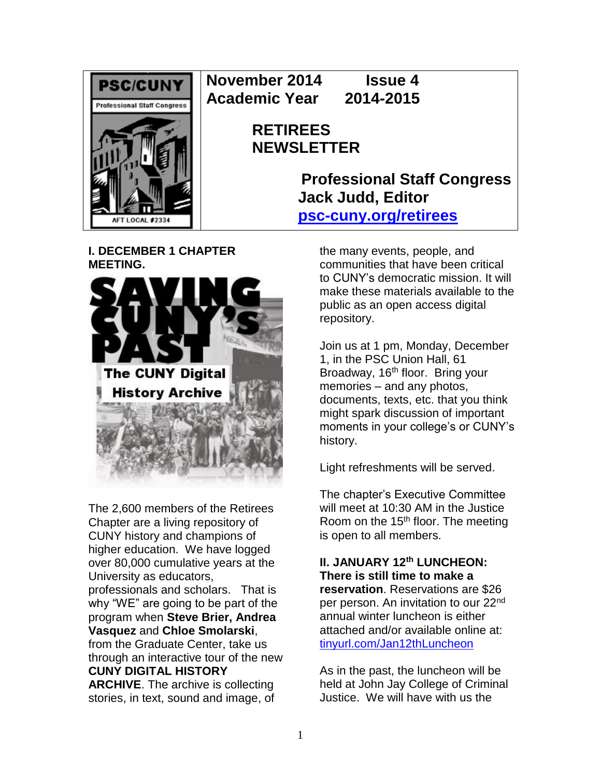

**November 2014 Issue 4 Academic Year 2014-2015**

# **RETIREES NEWSLETTER**

**Professional Staff Congress Jack Judd, Editor [psc-cuny.org/retirees](http://www.psc-cuny.org/retirees)**

# **I. DECEMBER 1 CHAPTER MEETING.**



The 2,600 members of the Retirees Chapter are a living repository of CUNY history and champions of higher education. We have logged over 80,000 cumulative years at the University as educators, professionals and scholars. That is why "WE" are going to be part of the program when **Steve Brier, Andrea Vasquez** and **Chloe Smolarski**, from the Graduate Center, take us through an interactive tour of the new **CUNY DIGITAL HISTORY** 

**ARCHIVE**. The archive is collecting stories, in text, sound and image, of the many events, people, and communities that have been critical to CUNY's democratic mission. It will make these materials available to the public as an open access digital repository.

Join us at 1 pm, Monday, December 1, in the PSC Union Hall, 61 Broadway, 16<sup>th</sup> floor. Bring your memories – and any photos, documents, texts, etc. that you think might spark discussion of important moments in your college's or CUNY's history.

Light refreshments will be served.

The chapter's Executive Committee will meet at 10:30 AM in the Justice Room on the  $15<sup>th</sup>$  floor. The meeting is open to all members.

#### **II. JANUARY 12th LUNCHEON: There is still time to make a**

**reservation**. Reservations are \$26 per person. An invitation to our 22<sup>nd</sup> annual winter luncheon is either attached and/or available online at: [tinyurl.com/Jan12thLuncheon](http://tinyurl.com/Jan12thLuncheon)

As in the past, the luncheon will be held at John Jay College of Criminal Justice. We will have with us the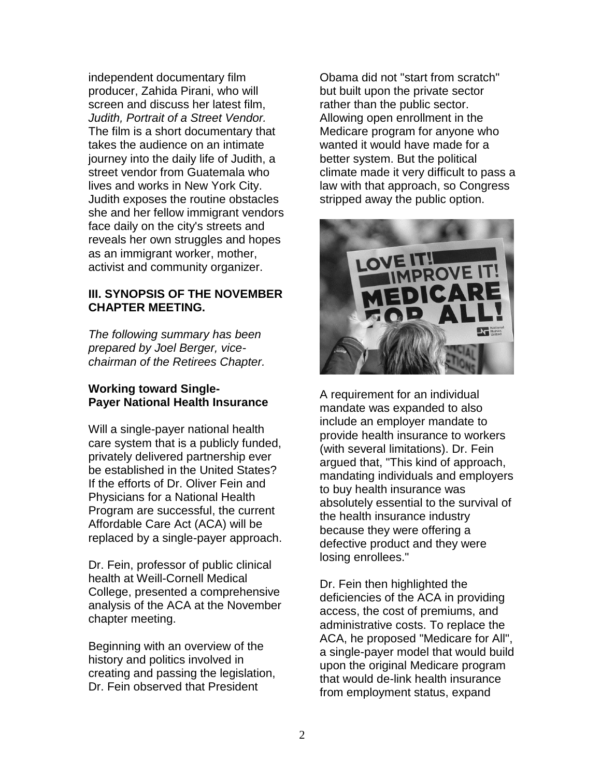independent documentary film producer, Zahida Pirani, who will screen and discuss her latest film, *Judith, Portrait of a Street Vendor.* The film is a short documentary that takes the audience on an intimate journey into the daily life of Judith, a street vendor from Guatemala who lives and works in New York City. Judith exposes the routine obstacles she and her fellow immigrant vendors face daily on the city's streets and reveals her own struggles and hopes as an immigrant worker, mother, activist and community organizer.

## **III. SYNOPSIS OF THE NOVEMBER CHAPTER MEETING.**

*The following summary has been prepared by Joel Berger, vicechairman of the Retirees Chapter.*

## **Working toward Single-Payer National Health Insurance**

Will a single-payer national health care system that is a publicly funded, privately delivered partnership ever be established in the United States? If the efforts of Dr. Oliver Fein and Physicians for a National Health Program are successful, the current Affordable Care Act (ACA) will be replaced by a single-payer approach.

Dr. Fein, professor of public clinical health at Weill-Cornell Medical College, presented a comprehensive analysis of the ACA at the November chapter meeting.

Beginning with an overview of the history and politics involved in creating and passing the legislation, Dr. Fein observed that President

Obama did not "start from scratch" but built upon the private sector rather than the public sector. Allowing open enrollment in the Medicare program for anyone who wanted it would have made for a better system. But the political climate made it very difficult to pass a law with that approach, so Congress stripped away the public option.



A requirement for an individual mandate was expanded to also include an employer mandate to provide health insurance to workers (with several limitations). Dr. Fein argued that, "This kind of approach, mandating individuals and employers to buy health insurance was absolutely essential to the survival of the health insurance industry because they were offering a defective product and they were losing enrollees."

Dr. Fein then highlighted the deficiencies of the ACA in providing access, the cost of premiums, and administrative costs. To replace the ACA, he proposed "Medicare for All", a single-payer model that would build upon the original Medicare program that would de-link health insurance from employment status, expand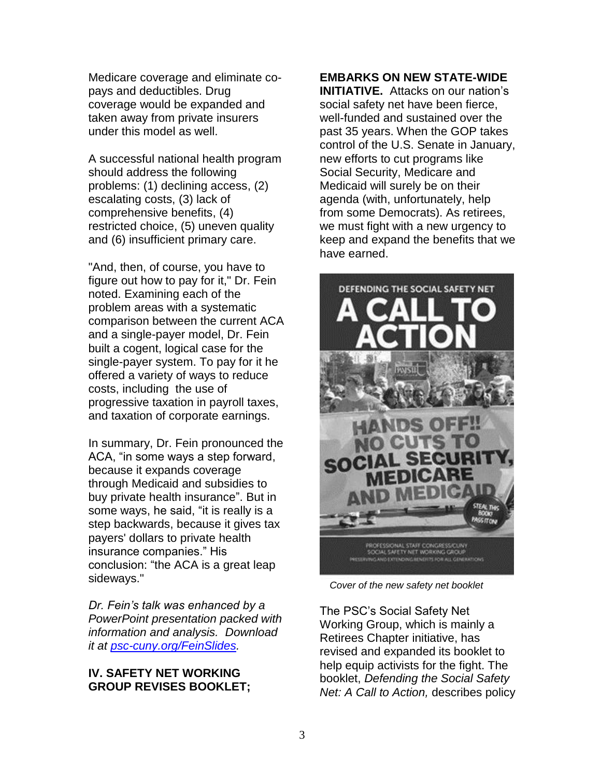Medicare coverage and eliminate copays and deductibles. Drug coverage would be expanded and taken away from private insurers under this model as well.

A successful national health program should address the following problems: (1) declining access, (2) escalating costs, (3) lack of comprehensive benefits, (4) restricted choice, (5) uneven quality and (6) insufficient primary care.

"And, then, of course, you have to figure out how to pay for it," Dr. Fein noted. Examining each of the problem areas with a systematic comparison between the current ACA and a single-payer model, Dr. Fein built a cogent, logical case for the single-payer system. To pay for it he offered a variety of ways to reduce costs, including the use of progressive taxation in payroll taxes, and taxation of corporate earnings.

In summary, Dr. Fein pronounced the ACA, "in some ways a step forward, because it expands coverage through Medicaid and subsidies to buy private health insurance". But in some ways, he said, "it is really is a step backwards, because it gives tax payers' dollars to private health insurance companies." His conclusion: "the ACA is a great leap sideways."

*Dr. Fein's talk was enhanced by a PowerPoint presentation packed with information and analysis. Download it at [psc-cuny.org/FeinSlides.](http://psc-cuny.org/FeinSlides)*

## **IV. SAFETY NET WORKING GROUP REVISES BOOKLET;**

# **EMBARKS ON NEW STATE-WIDE**

**INITIATIVE.** Attacks on our nation's social safety net have been fierce, well-funded and sustained over the past 35 years. When the GOP takes control of the U.S. Senate in January, new efforts to cut programs like Social Security, Medicare and Medicaid will surely be on their agenda (with, unfortunately, help from some Democrats). As retirees, we must fight with a new urgency to keep and expand the benefits that we have earned.



*Cover of the new safety net booklet*

The PSC's Social Safety Net Working Group, which is mainly a Retirees Chapter initiative, has revised and expanded its booklet to help equip activists for the fight. The booklet, *Defending the Social Safety Net: A Call to Action,* describes policy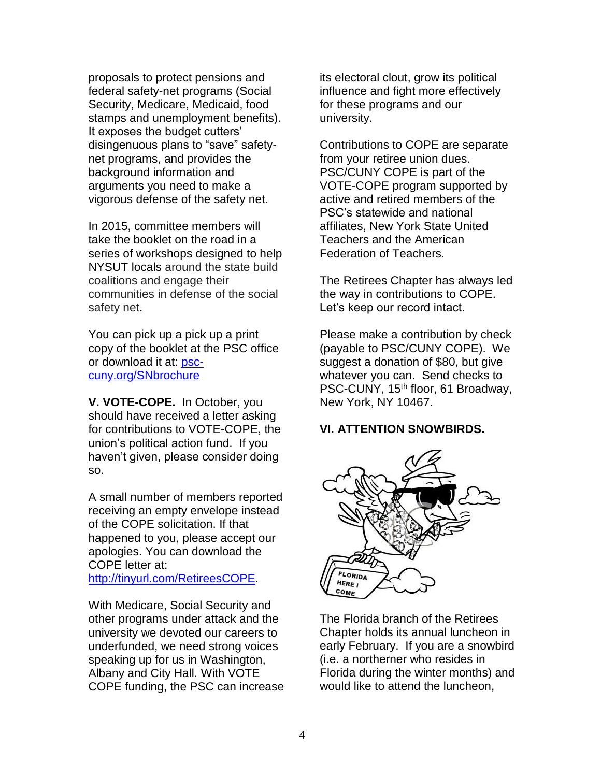proposals to protect pensions and federal safety-net programs (Social Security, Medicare, Medicaid, food stamps and unemployment benefits). It exposes the budget cutters' disingenuous plans to "save" safetynet programs, and provides the background information and arguments you need to make a vigorous defense of the safety net.

In 2015, committee members will take the booklet on the road in a series of workshops designed to help NYSUT locals around the state build coalitions and engage their communities in defense of the social safety net.

You can pick up a pick up a print copy of the booklet at the PSC office or download it at: [psc](http://psc-cuny.org/SNbrochure)[cuny.org/SNbrochure](http://psc-cuny.org/SNbrochure)

**V. VOTE-COPE.** In October, you should have received a letter asking for contributions to VOTE-COPE, the union's political action fund. If you haven't given, please consider doing so.

A small number of members reported receiving an empty envelope instead of the COPE solicitation. If that happened to you, please accept our apologies. You can download the COPE letter at:

[http://tinyurl.com/RetireesCOPE.](http://tinyurl.com/RetireesCOPE)

With Medicare, Social Security and other programs under attack and the university we devoted our careers to underfunded, we need strong voices speaking up for us in Washington, Albany and City Hall. With VOTE COPE funding, the PSC can increase its electoral clout, grow its political influence and fight more effectively for these programs and our university.

Contributions to COPE are separate from your retiree union dues. PSC/CUNY COPE is part of the VOTE-COPE program supported by active and retired members of the PSC's statewide and national affiliates, New York State United Teachers and the American Federation of Teachers.

The Retirees Chapter has always led the way in contributions to COPE. Let's keep our record intact.

Please make a contribution by check (payable to PSC/CUNY COPE). We suggest a donation of \$80, but give whatever you can. Send checks to PSC-CUNY, 15<sup>th</sup> floor, 61 Broadway, New York, NY 10467.

# **VI. ATTENTION SNOWBIRDS.**



The Florida branch of the Retirees Chapter holds its annual luncheon in early February. If you are a snowbird (i.e. a northerner who resides in Florida during the winter months) and would like to attend the luncheon,